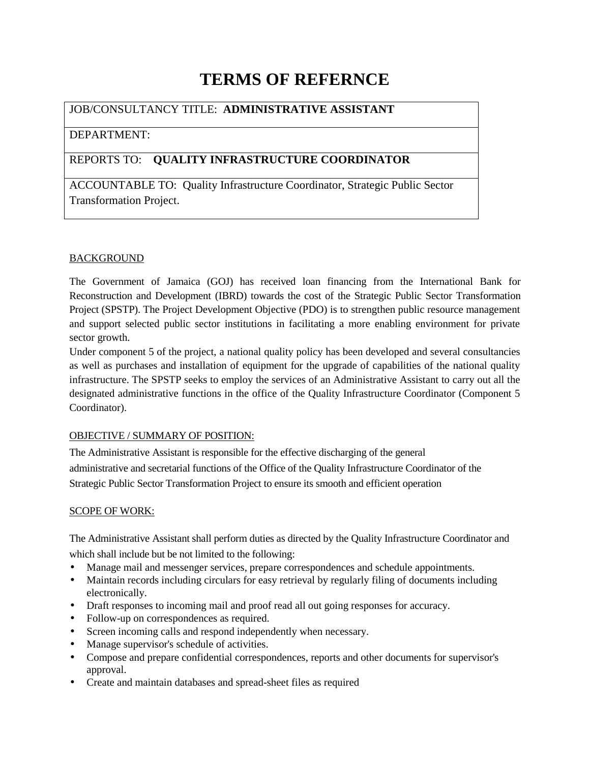# **TERMS OF REFERNCE**

# JOB/CONSULTANCY TITLE: **ADMINISTRATIVE ASSISTANT**

# DEPARTMENT:

# REPORTS TO: **QUALITY INFRASTRUCTURE COORDINATOR**

ACCOUNTABLE TO: Quality Infrastructure Coordinator, Strategic Public Sector Transformation Project.

# **BACKGROUND**

The Government of Jamaica (GOJ) has received loan financing from the International Bank for Reconstruction and Development (IBRD) towards the cost of the Strategic Public Sector Transformation Project (SPSTP). The Project Development Objective (PDO) is to strengthen public resource management and support selected public sector institutions in facilitating a more enabling environment for private sector growth.

Under component 5 of the project, a national quality policy has been developed and several consultancies as well as purchases and installation of equipment for the upgrade of capabilities of the national quality infrastructure. The SPSTP seeks to employ the services of an Administrative Assistant to carry out all the designated administrative functions in the office of the Quality Infrastructure Coordinator (Component 5 Coordinator).

## OBJECTIVE / SUMMARY OF POSITION:

The Administrative Assistant is responsible for the effective discharging of the general administrative and secretarial functions of the Office of the Quality Infrastructure Coordinator of the Strategic Public Sector Transformation Project to ensure its smooth and efficient operation

## SCOPE OF WORK:

The Administrative Assistant shall perform duties as directed by the Quality Infrastructure Coordinator and which shall include but be not limited to the following:

- Manage mail and messenger services, prepare correspondences and schedule appointments.
- Maintain records including circulars for easy retrieval by regularly filing of documents including electronically.
- Draft responses to incoming mail and proof read all out going responses for accuracy.
- Follow-up on correspondences as required.
- Screen incoming calls and respond independently when necessary.
- Manage supervisor's schedule of activities.
- Compose and prepare confidential correspondences, reports and other documents for supervisor's approval.
- Create and maintain databases and spread-sheet files as required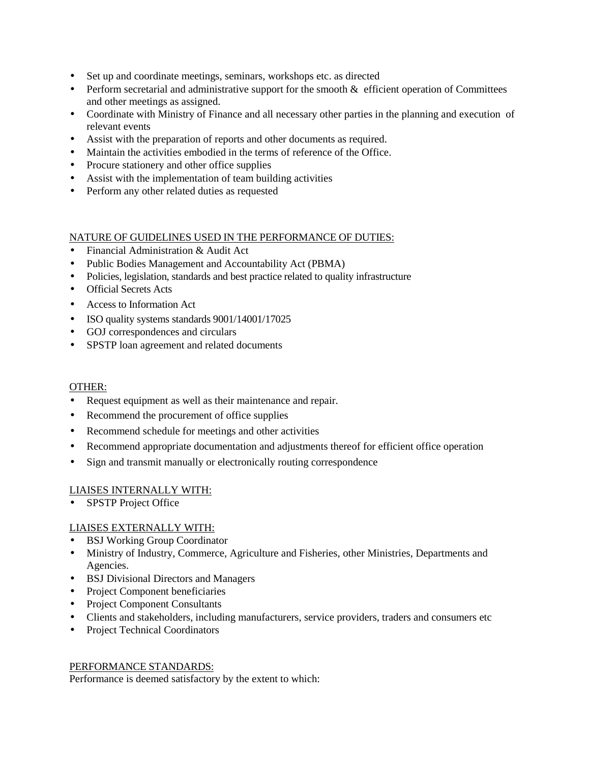- Set up and coordinate meetings, seminars, workshops etc. as directed
- $\bullet$  Perform secretarial and administrative support for the smooth  $\&$  efficient operation of Committees and other meetings as assigned.
- Coordinate with Ministry of Finance and all necessary other parties in the planning and execution of relevant events
- Assist with the preparation of reports and other documents as required.
- Maintain the activities embodied in the terms of reference of the Office.
- Procure stationery and other office supplies
- Assist with the implementation of team building activities
- Perform any other related duties as requested

#### NATURE OF GUIDELINES USED IN THE PERFORMANCE OF DUTIES:

- Financial Administration & Audit Act
- Public Bodies Management and Accountability Act (PBMA)
- Policies, legislation, standards and best practice related to quality infrastructure
- Official Secrets Acts
- Access to Information Act
- ISO quality systems standards 9001/14001/17025
- GOJ correspondences and circulars
- SPSTP loan agreement and related documents

#### OTHER:

- Request equipment as well as their maintenance and repair.
- Recommend the procurement of office supplies
- Recommend schedule for meetings and other activities
- Recommend appropriate documentation and adjustments thereof for efficient office operation
- Sign and transmit manually or electronically routing correspondence

#### LIAISES INTERNALLY WITH:

• SPSTP Project Office

#### LIAISES EXTERNALLY WITH:

- BSJ Working Group Coordinator
- Ministry of Industry, Commerce, Agriculture and Fisheries, other Ministries, Departments and Agencies.
- BSJ Divisional Directors and Managers
- Project Component beneficiaries
- Project Component Consultants
- Clients and stakeholders, including manufacturers, service providers, traders and consumers etc
- Project Technical Coordinators

#### PERFORMANCE STANDARDS:

Performance is deemed satisfactory by the extent to which: